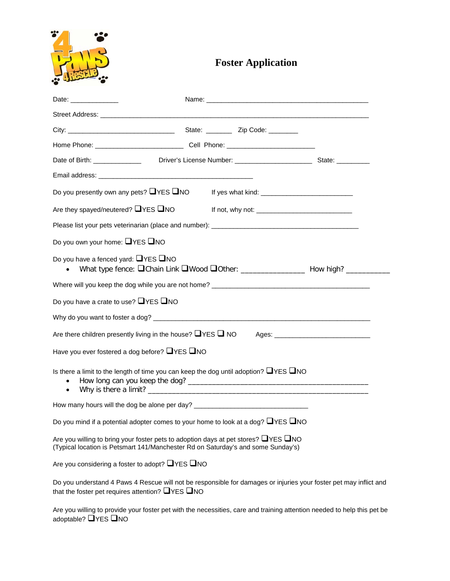

## **Foster Application**

| Date: Date:                                                                                                                                                                        |  |  |  |  |  |  |  |
|------------------------------------------------------------------------------------------------------------------------------------------------------------------------------------|--|--|--|--|--|--|--|
|                                                                                                                                                                                    |  |  |  |  |  |  |  |
|                                                                                                                                                                                    |  |  |  |  |  |  |  |
|                                                                                                                                                                                    |  |  |  |  |  |  |  |
|                                                                                                                                                                                    |  |  |  |  |  |  |  |
|                                                                                                                                                                                    |  |  |  |  |  |  |  |
| Do you presently own any pets? $\Box$ YES $\Box$ NO                                                                                                                                |  |  |  |  |  |  |  |
| Are they spayed/neutered? $\Box$ YES $\Box$ NO                                                                                                                                     |  |  |  |  |  |  |  |
|                                                                                                                                                                                    |  |  |  |  |  |  |  |
| Do you own your home: $\Box$ YES $\Box$ NO                                                                                                                                         |  |  |  |  |  |  |  |
| Do you have a fenced yard: $\Box$ YES $\Box$ NO<br>What type fence: Chain Link Wood Cother: _____________________ How high? ____________                                           |  |  |  |  |  |  |  |
|                                                                                                                                                                                    |  |  |  |  |  |  |  |
| Do you have a crate to use? $\Box$ YES $\Box$ NO                                                                                                                                   |  |  |  |  |  |  |  |
|                                                                                                                                                                                    |  |  |  |  |  |  |  |
|                                                                                                                                                                                    |  |  |  |  |  |  |  |
| Have you ever fostered a dog before? $\Box$ YES $\Box$ NO                                                                                                                          |  |  |  |  |  |  |  |
| Is there a limit to the length of time you can keep the dog until adoption? $\Box$ YES $\Box$ NO<br>$\bullet$                                                                      |  |  |  |  |  |  |  |
| How many hours will the dog be alone per day? __________________________________                                                                                                   |  |  |  |  |  |  |  |
| Do you mind if a potential adopter comes to your home to look at a dog? $\Box$ YES $\Box$ NO                                                                                       |  |  |  |  |  |  |  |
| Are you willing to bring your foster pets to adoption days at pet stores? $\Box$ YES $\Box$ NO<br>(Typical location is Petsmart 141/Manchester Rd on Saturday's and some Sunday's) |  |  |  |  |  |  |  |
| Are you considering a foster to adopt? $\Box$ YES $\Box$ NO                                                                                                                        |  |  |  |  |  |  |  |
| Do you understand 4 Paws 4 Rescue will not be responsible for damages or injuries your foster pet may inflict and<br>that the foster pet requires attention? $\Box$ YES $\Box$ NO  |  |  |  |  |  |  |  |
| Are you willing to provide your foster pet with the necessities, care and training attention needed to help this pet be<br>adoptable? ■YES ■NO                                     |  |  |  |  |  |  |  |